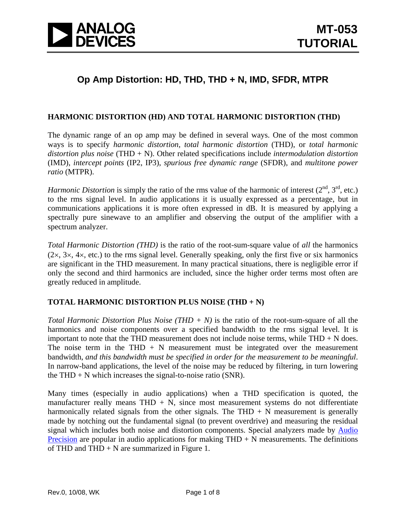

## **Op Amp Distortion: HD, THD, THD + N, IMD, SFDR, MTPR**

#### **HARMONIC DISTORTION (HD) AND TOTAL HARMONIC DISTORTION (THD)**

The dynamic range of an op amp may be defined in several ways. One of the most common ways is to specify *harmonic distortion*, *total harmonic distortion* (THD), or *total harmonic distortion plus noise* (THD + N). Other related specifications include *intermodulation distortion*  (IMD), *intercept points* (IP2, IP3), *spurious free dynamic range* (SFDR), and *multitone power ratio* (MTPR).

*Harmonic Distortion* is simply the ratio of the rms value of the harmonic of interest  $(2^{nd}, 3^{rd}, etc.)$ to the rms signal level. In audio applications it is usually expressed as a percentage, but in communications applications it is more often expressed in dB. It is measured by applying a spectrally pure sinewave to an amplifier and observing the output of the amplifier with a spectrum analyzer.

*Total Harmonic Distortion (THD)* is the ratio of the root-sum-square value of *all* the harmonics  $(2\times, 3\times, 4\times, \text{etc.})$  to the rms signal level. Generally speaking, only the first five or six harmonics are significant in the THD measurement. In many practical situations, there is negligible error if only the second and third harmonics are included, since the higher order terms most often are greatly reduced in amplitude.

#### **TOTAL HARMONIC DISTORTION PLUS NOISE (THD + N)**

*Total Harmonic Distortion Plus Noise (THD + N)* is the ratio of the root-sum-square of all the harmonics and noise components over a specified bandwidth to the rms signal level. It is important to note that the THD measurement does not include noise terms, while  $THD + N$  does. The noise term in the THD  $+ N$  measurement must be integrated over the measurement bandwidth, *and this bandwidth must be specified in order for the measurement to be meaningful*. In narrow-band applications, the level of the noise may be reduced by filtering, in turn lowering the  $THD + N$  which increases the signal-to-noise ratio (SNR).

Many times (especially in audio applications) when a THD specification is quoted, the manufacturer really means  $THD + N$ , since most measurement systems do not differentiate harmonically related signals from the other signals. The THD  $+ N$  measurement is generally made by notching out the fundamental signal (to prevent overdrive) and measuring the residual signal which includes both noise and distortion components. Special analyzers made by [Audio](http://ap.com/)  [Precision](http://ap.com/) are popular in audio applications for making  $THD + N$  measurements. The definitions of THD and THD  $+ N$  are summarized in Figure 1.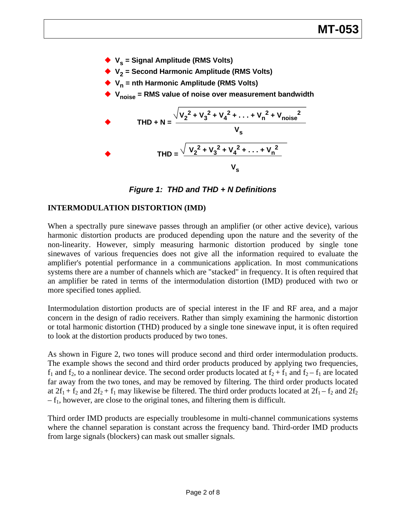

*Figure 1: THD and THD + N Definitions* 

### **INTERMODULATION DISTORTION (IMD)**

When a spectrally pure sinewave passes through an amplifier (or other active device), various harmonic distortion products are produced depending upon the nature and the severity of the non-linearity. However, simply measuring harmonic distortion produced by single tone sinewaves of various frequencies does not give all the information required to evaluate the amplifier's potential performance in a communications application. In most communications systems there are a number of channels which are "stacked" in frequency. It is often required that an amplifier be rated in terms of the intermodulation distortion (IMD) produced with two or more specified tones applied.

Intermodulation distortion products are of special interest in the IF and RF area, and a major concern in the design of radio receivers. Rather than simply examining the harmonic distortion or total harmonic distortion (THD) produced by a single tone sinewave input, it is often required to look at the distortion products produced by two tones.

As shown in Figure 2, two tones will produce second and third order intermodulation products. The example shows the second and third order products produced by applying two frequencies,  $f_1$  and  $f_2$ , to a nonlinear device. The second order products located at  $f_2 + f_1$  and  $f_2 - f_1$  are located far away from the two tones, and may be removed by filtering. The third order products located at  $2f_1 + f_2$  and  $2f_2 + f_1$  may likewise be filtered. The third order products located at  $2f_1 - f_2$  and  $2f_2$  $-f_1$ , however, are close to the original tones, and filtering them is difficult.

Third order IMD products are especially troublesome in multi-channel communications systems where the channel separation is constant across the frequency band. Third-order IMD products from large signals (blockers) can mask out smaller signals.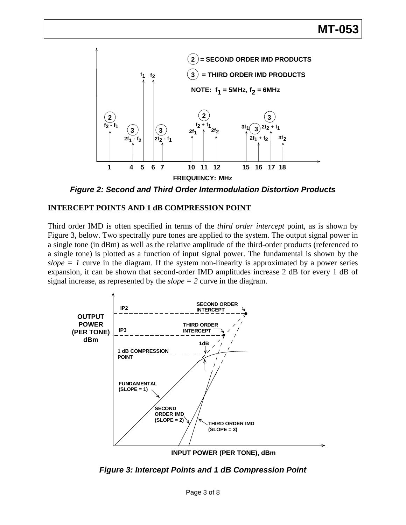

*Figure 2: Second and Third Order Intermodulation Distortion Products* 

### **INTERCEPT POINTS AND 1 dB COMPRESSION POINT**

Third order IMD is often specified in terms of the *third order intercept* point, as is shown by Figure 3, below. Two spectrally pure tones are applied to the system. The output signal power in a single tone (in dBm) as well as the relative amplitude of the third-order products (referenced to a single tone) is plotted as a function of input signal power. The fundamental is shown by the  $slope = 1$  curve in the diagram. If the system non-linearity is approximated by a power series expansion, it can be shown that second-order IMD amplitudes increase 2 dB for every 1 dB of signal increase, as represented by the *slope = 2* curve in the diagram.



*Figure 3: Intercept Points and 1 dB Compression Point*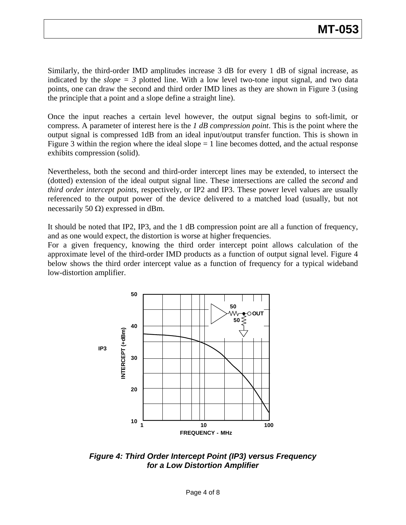Similarly, the third-order IMD amplitudes increase 3 dB for every 1 dB of signal increase, as indicated by the  $slope = 3$  plotted line. With a low level two-tone input signal, and two data points, one can draw the second and third order IMD lines as they are shown in Figure 3 (using the principle that a point and a slope define a straight line).

Once the input reaches a certain level however, the output signal begins to soft-limit, or compress. A parameter of interest here is the *1 dB compression point*. This is the point where the output signal is compressed 1dB from an ideal input/output transfer function. This is shown in Figure 3 within the region where the ideal slope  $= 1$  line becomes dotted, and the actual response exhibits compression (solid).

Nevertheless, both the second and third-order intercept lines may be extended, to intersect the (dotted) extension of the ideal output signal line. These intersections are called the *second* and *third order intercept points*, respectively, or IP2 and IP3. These power level values are usually referenced to the output power of the device delivered to a matched load (usually, but not necessarily 50  $\Omega$ ) expressed in dBm.

It should be noted that IP2, IP3, and the 1 dB compression point are all a function of frequency, and as one would expect, the distortion is worse at higher frequencies.

For a given frequency, knowing the third order intercept point allows calculation of the approximate level of the third-order IMD products as a function of output signal level. Figure 4 below shows the third order intercept value as a function of frequency for a typical wideband low-distortion amplifier.



*Figure 4: Third Order Intercept Point (IP3) versus Frequency for a Low Distortion Amplifier*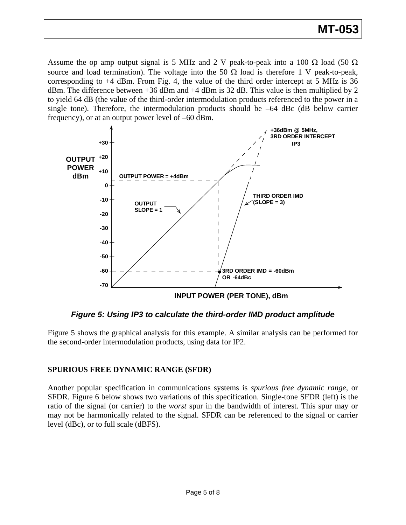# **MT-053**

Assume the op amp output signal is 5 MHz and 2 V peak-to-peak into a 100  $\Omega$  load (50  $\Omega$ ) source and load termination). The voltage into the 50  $\Omega$  load is therefore 1 V peak-to-peak, corresponding to  $+4$  dBm. From Fig. 4, the value of the third order intercept at 5 MHz is 36 dBm. The difference between  $+36$  dBm and  $+4$  dBm is 32 dB. This value is then multiplied by 2 to yield 64 dB (the value of the third-order intermodulation products referenced to the power in a single tone). Therefore, the intermodulation products should be  $-64$  dBc (dB below carrier frequency), or at an output power level of –60 dBm.



*Figure 5: Using IP3 to calculate the third-order IMD product amplitude* 

Figure 5 shows the graphical analysis for this example. A similar analysis can be performed for the second-order intermodulation products, using data for IP2.

### **SPURIOUS FREE DYNAMIC RANGE (SFDR)**

Another popular specification in communications systems is *spurious free dynamic range*, or SFDR. Figure 6 below shows two variations of this specification. Single-tone SFDR (left) is the ratio of the signal (or carrier) to the *worst* spur in the bandwidth of interest. This spur may or may not be harmonically related to the signal. SFDR can be referenced to the signal or carrier level (dBc), or to full scale (dBFS).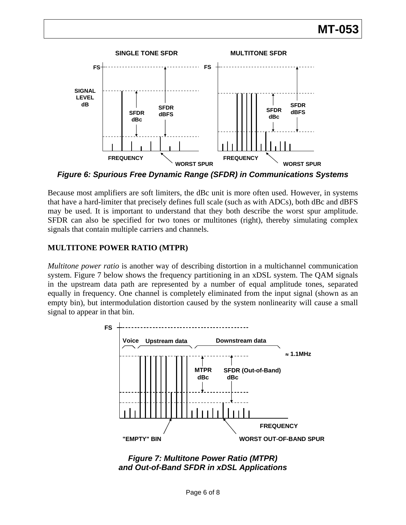# **MT-053**



*Figure 6: Spurious Free Dynamic Range (SFDR) in Communications Systems* 

Because most amplifiers are soft limiters, the dBc unit is more often used. However, in systems that have a hard-limiter that precisely defines full scale (such as with ADCs), both dBc and dBFS may be used. It is important to understand that they both describe the worst spur amplitude. SFDR can also be specified for two tones or multitones (right), thereby simulating complex signals that contain multiple carriers and channels.

### **MULTITONE POWER RATIO (MTPR)**

*Multitone power ratio* is another way of describing distortion in a multichannel communication system. Figure 7 below shows the frequency partitioning in an xDSL system. The QAM signals in the upstream data path are represented by a number of equal amplitude tones, separated equally in frequency. One channel is completely eliminated from the input signal (shown as an empty bin), but intermodulation distortion caused by the system nonlinearity will cause a small signal to appear in that bin.



*Figure 7: Multitone Power Ratio (MTPR) and Out-of-Band SFDR in xDSL Applications*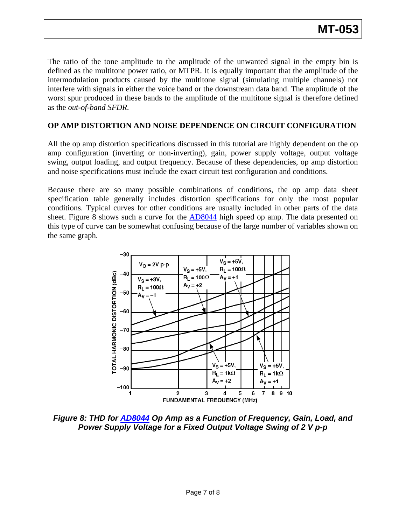The ratio of the tone amplitude to the amplitude of the unwanted signal in the empty bin is defined as the multitone power ratio, or MTPR. It is equally important that the amplitude of the intermodulation products caused by the multitone signal (simulating multiple channels) not interfere with signals in either the voice band or the downstream data band. The amplitude of the worst spur produced in these bands to the amplitude of the multitone signal is therefore defined as the *out-of-band SFDR*.

#### **OP AMP DISTORTION AND NOISE DEPENDENCE ON CIRCUIT CONFIGURATION**

All the op amp distortion specifications discussed in this tutorial are highly dependent on the op amp configuration (inverting or non-inverting), gain, power supply voltage, output voltage swing, output loading, and output frequency. Because of these dependencies, op amp distortion and noise specifications must include the exact circuit test configuration and conditions.

Because there are so many possible combinations of conditions, the op amp data sheet specification table generally includes distortion specifications for only the most popular conditions. Typical curves for other conditions are usually included in other parts of the data sheet. Figure 8 shows such a curve for the  $AD8044$  high speed op amp. The data presented on this type of curve can be somewhat confusing because of the large number of variables shown on the same graph.



*Figure 8: THD for [AD8044](http://www.analog.com/en/audiovideo-products/video-ampsbuffersfilters/ad8044/products/product.html) Op Amp as a Function of Frequency, Gain, Load, and Power Supply Voltage for a Fixed Output Voltage Swing of 2 V p-p*